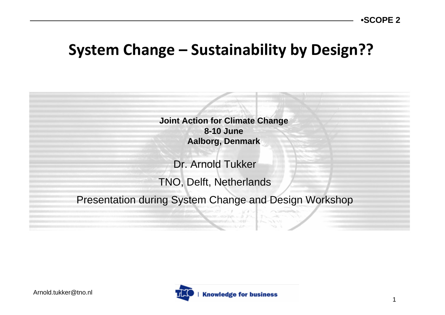#### **System Change – Sustainability by Design??**

**Joint Action for Climate Change 8-10 JuneAalborg, Denmark**

Dr. Arnold TukkerTNO, Delft, Netherlands

Presentation during System Change and Design Workshop

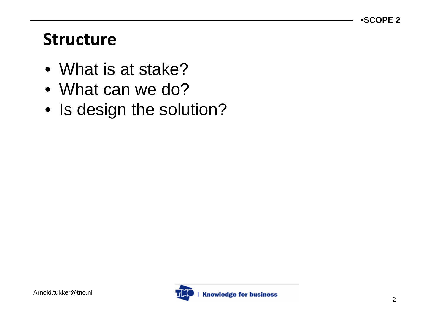### **Structure**

- What is at stake?
- What can we do?
- Is design the solution?

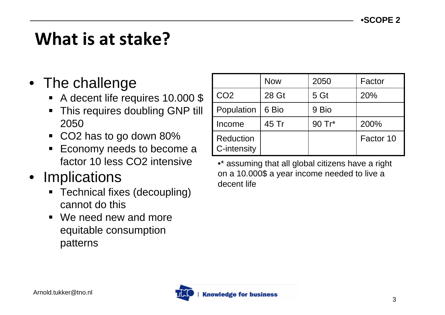# **What is at stake?**

#### • The challenge

- A decent life requires 10.000 \$
- ٠ This requires doubling GNP till 2050
- $\blacksquare$ CO2 has to go down 80%
- ٠ Economy needs to become a factor 10 less CO2 intensive
- **Implications** 
	- ٠ Technical fixes (decoupling) cannot do this
	- We need new and more equitable consumption patterns

|                                 | <b>Now</b> | 2050   | Factor    |
|---------------------------------|------------|--------|-----------|
| CO <sub>2</sub>                 | 28 Gt      | 5 Gt   | 20%       |
| Population                      | 6 Bio      | 9 Bio  |           |
| Income                          | 45 Tr      | 90 Tr* | 200%      |
| <b>Reduction</b><br>C-intensity |            |        | Factor 10 |

•\* assuming that all global citizens have a right on a 10.000\$ a year income needed to live a decent life

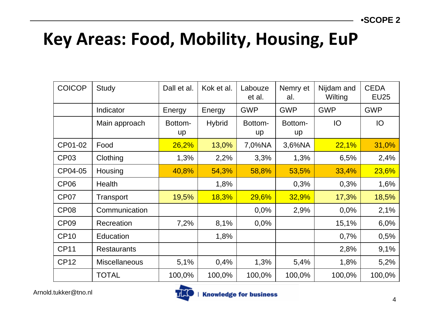## **Key Areas: Food, Mobility, Housing, EuP**

| <b>COICOP</b>    | <b>Study</b>         | Dall et al.   | Kok et al.    | Labouze<br>et al. | Nemry et<br>al. | Nijdam and<br>Wilting | <b>CEDA</b><br><b>EU25</b> |
|------------------|----------------------|---------------|---------------|-------------------|-----------------|-----------------------|----------------------------|
|                  | Indicator            | Energy        | Energy        | <b>GWP</b>        | <b>GWP</b>      | <b>GWP</b>            | <b>GWP</b>                 |
|                  | Main approach        | Bottom-<br>up | <b>Hybrid</b> | Bottom-<br>up     | Bottom-<br>up   | <b>IO</b>             | IO                         |
| CP01-02          | Food                 | 26,2%         | 13,0%         | 7,0%NA            | 3,6%NA          | 22,1%                 | 31,0%                      |
| CP <sub>03</sub> | Clothing             | 1,3%          | 2,2%          | 3,3%              | 1,3%            | 6,5%                  | 2,4%                       |
| CP04-05          | Housing              | 40,8%         | 54,3%         | 58,8%             | 53,5%           | 33,4%                 | 23,6%                      |
| CP <sub>06</sub> | Health               |               | 1,8%          |                   | 0,3%            | 0,3%                  | 1,6%                       |
| CP <sub>07</sub> | Transport            | 19,5%         | 18,3%         | 29,6%             | 32,9%           | 17,3%                 | 18,5%                      |
| CP <sub>08</sub> | Communication        |               |               | 0,0%              | 2,9%            | 0,0%                  | 2,1%                       |
| CP <sub>09</sub> | Recreation           | 7,2%          | 8,1%          | 0,0%              |                 | 15,1%                 | 6,0%                       |
| <b>CP10</b>      | Education            |               | 1,8%          |                   |                 | 0,7%                  | 0,5%                       |
| <b>CP11</b>      | <b>Restaurants</b>   |               |               |                   |                 | 2,8%                  | 9,1%                       |
| <b>CP12</b>      | <b>Miscellaneous</b> | 5,1%          | 0,4%          | 1,3%              | 5,4%            | 1,8%                  | 5,2%                       |
|                  | <b>TOTAL</b>         | 100,0%        | 100,0%        | 100,0%            | 100,0%          | 100,0%                | 100,0%                     |

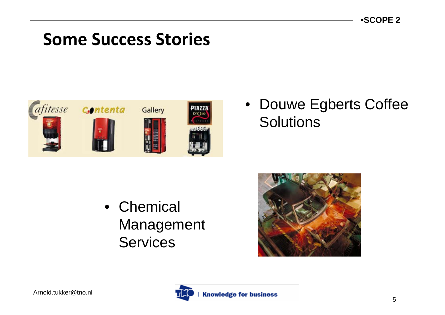### **Some Success Stories**



#### • Douwe Egberts Coffee **Solutions**

• Chemical Management Services



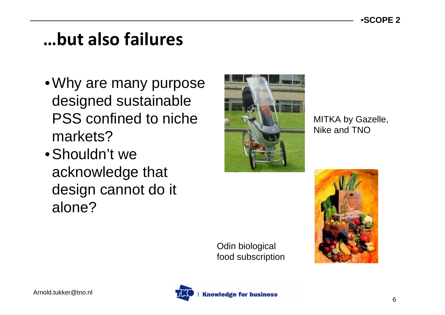## **…but also failures**

- Why are many purpose designed sustainable PSS confined to niche markets?
- Shouldn't we acknowledge that design cannot do it alone?



MITKA by Gazelle, Nike and TNO





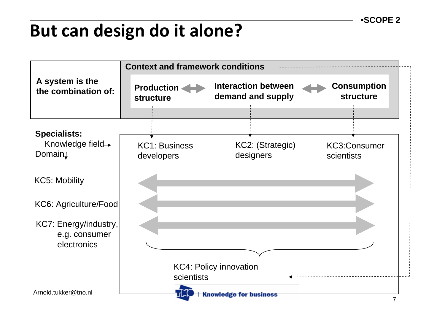# **But can design do it alone?**

|                                                       | <b>Context and framework conditions</b>     |                                                 |                                        |  |  |  |
|-------------------------------------------------------|---------------------------------------------|-------------------------------------------------|----------------------------------------|--|--|--|
| A system is the<br>the combination of:                | <b>Production</b><br><b>structure</b>       | <b>Interaction between</b><br>demand and supply | <b>Consumption</b><br><b>structure</b> |  |  |  |
| <b>Specialists:</b><br>Knowledge field→<br>Domain     | <b>KC1: Business</b><br>developers          | KC2: (Strategic)<br>designers                   | <b>KC3:Consumer</b><br>scientists      |  |  |  |
| <b>KC5: Mobility</b>                                  |                                             |                                                 |                                        |  |  |  |
| KC6: Agriculture/Food                                 |                                             |                                                 |                                        |  |  |  |
| KC7: Energy/industry,<br>e.g. consumer<br>electronics |                                             |                                                 |                                        |  |  |  |
|                                                       | <b>KC4: Policy innovation</b><br>scientists |                                                 |                                        |  |  |  |
| Arnold.tukker@tno.nl                                  |                                             | <b>Knowledge for business</b>                   |                                        |  |  |  |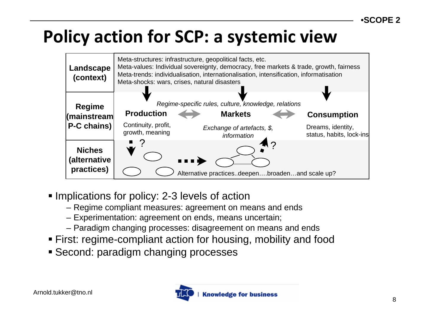# **Policy action for SCP: <sup>a</sup> systemic view**



- **Implications for policy: 2-3 levels of action** 
	- Regime compliant measures: agreement on means and ends
	- Experimentation: agreement on ends, means uncertain;
	- Paradigm changing processes: disagreement on means and ends
- First: regime-compliant action for housing, mobility and food
- Second: paradigm changing processes